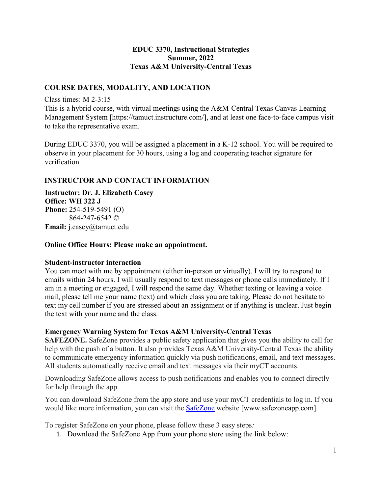#### **EDUC 3370, Instructional Strategies Summer, 2022 Texas A&M University-Central Texas**

### **COURSE DATES, MODALITY, AND LOCATION**

Class times: M 2-3:15

This is a hybrid course, with virtual meetings using the A&M-Central Texas Canvas Learning Management System [https://tamuct.instructure.com/], and at least one face-to-face campus visit to take the representative exam.

During EDUC 3370, you will be assigned a placement in a K-12 school. You will be required to observe in your placement for 30 hours, using a log and cooperating teacher signature for verification.

### **INSTRUCTOR AND CONTACT INFORMATION**

**Instructor: Dr. J. Elizabeth Casey Office: WH 322 J Phone:** 254-519-5491 (O) 864-247-6542 © **Email:** j.casey@tamuct.edu

#### **Online Office Hours: Please make an appointment.**

#### **Student-instructor interaction**

You can meet with me by appointment (either in-person or virtually). I will try to respond to emails within 24 hours. I will usually respond to text messages or phone calls immediately. If I am in a meeting or engaged, I will respond the same day. Whether texting or leaving a voice mail, please tell me your name (text) and which class you are taking. Please do not hesitate to text my cell number if you are stressed about an assignment or if anything is unclear. Just begin the text with your name and the class.

#### **Emergency Warning System for Texas A&M University-Central Texas**

**SAFEZONE.** SafeZone provides a public safety application that gives you the ability to call for help with the push of a button. It also provides Texas A&M University-Central Texas the ability to communicate emergency information quickly via push notifications, email, and text messages. All students automatically receive email and text messages via their myCT accounts.

Downloading SafeZone allows access to push notifications and enables you to connect directly for help through the app.

You can download SafeZone from the app store and use your myCT credentials to log in. If you would like more information, you can visit the [SafeZone](http://www.safezoneapp.com/) website [www.safezoneapp.com].

To register SafeZone on your phone, please follow these 3 easy steps*:*

1. Download the SafeZone App from your phone store using the link below: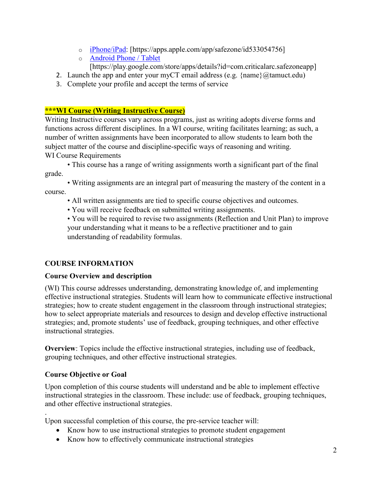- o [iPhone/iPad:](https://apps.apple.com/app/safezone/id533054756) [https://apps.apple.com/app/safezone/id533054756]
- o [Android Phone / Tablet](https://play.google.com/store/apps/details?id=com.criticalarc.safezoneapp) [https://play.google.com/store/apps/details?id=com.criticalarc.safezoneapp]
- 2. Launch the app and enter your myCT email address (e.g.  $\{name\}@t$ amuct.edu)
- 3. Complete your profile and accept the terms of service

## **\*\*\*WI Course (Writing Instructive Course)**

Writing Instructive courses vary across programs, just as writing adopts diverse forms and functions across different disciplines. In a WI course, writing facilitates learning; as such, a number of written assignments have been incorporated to allow students to learn both the subject matter of the course and discipline-specific ways of reasoning and writing. WI Course Requirements

• This course has a range of writing assignments worth a significant part of the final grade.

• Writing assignments are an integral part of measuring the mastery of the content in a course.

- All written assignments are tied to specific course objectives and outcomes.
- You will receive feedback on submitted writing assignments.

• You will be required to revise two assignments (Reflection and Unit Plan) to improve your understanding what it means to be a reflective practitioner and to gain understanding of readability formulas.

## **COURSE INFORMATION**

### **Course Overview and description**

(WI) This course addresses understanding, demonstrating knowledge of, and implementing effective instructional strategies. Students will learn how to communicate effective instructional strategies; how to create student engagement in the classroom through instructional strategies; how to select appropriate materials and resources to design and develop effective instructional strategies; and, promote students' use of feedback, grouping techniques, and other effective instructional strategies.

**Overview**: Topics include the effective instructional strategies, including use of feedback, grouping techniques, and other effective instructional strategies.

### **Course Objective or Goal**

Upon completion of this course students will understand and be able to implement effective instructional strategies in the classroom. These include: use of feedback, grouping techniques, and other effective instructional strategies.

. Upon successful completion of this course, the pre-service teacher will:

- Know how to use instructional strategies to promote student engagement
- Know how to effectively communicate instructional strategies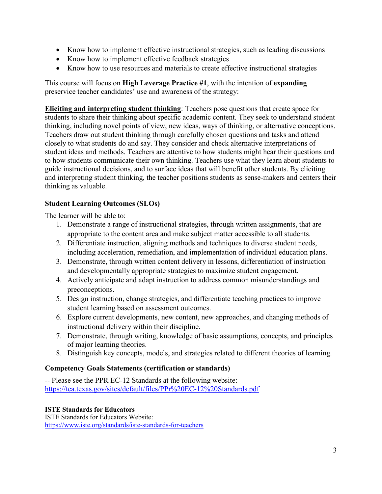- Know how to implement effective instructional strategies, such as leading discussions
- Know how to implement effective feedback strategies
- Know how to use resources and materials to create effective instructional strategies

This course will focus on **High Leverage Practice #1**, with the intention of **expanding** preservice teacher candidates' use and awareness of the strategy:

**Eliciting and interpreting student thinking**: Teachers pose questions that create space for students to share their thinking about specific academic content. They seek to understand student thinking, including novel points of view, new ideas, ways of thinking, or alternative conceptions. Teachers draw out student thinking through carefully chosen questions and tasks and attend closely to what students do and say. They consider and check alternative interpretations of student ideas and methods. Teachers are attentive to how students might hear their questions and to how students communicate their own thinking. Teachers use what they learn about students to guide instructional decisions, and to surface ideas that will benefit other students. By eliciting and interpreting student thinking, the teacher positions students as sense-makers and centers their thinking as valuable.

## **Student Learning Outcomes (SLOs)**

The learner will be able to:

- 1. Demonstrate a range of instructional strategies, through written assignments, that are appropriate to the content area and make subject matter accessible to all students.
- 2. Differentiate instruction, aligning methods and techniques to diverse student needs, including acceleration, remediation, and implementation of individual education plans.
- 3. Demonstrate, through written content delivery in lessons, differentiation of instruction and developmentally appropriate strategies to maximize student engagement.
- 4. Actively anticipate and adapt instruction to address common misunderstandings and preconceptions.
- 5. Design instruction, change strategies, and differentiate teaching practices to improve student learning based on assessment outcomes.
- 6. Explore current developments, new content, new approaches, and changing methods of instructional delivery within their discipline.
- 7. Demonstrate, through writing, knowledge of basic assumptions, concepts, and principles of major learning theories.
- 8. Distinguish key concepts, models, and strategies related to different theories of learning.

### **Competency Goals Statements (certification or standards)**

-- Please see the PPR EC-12 Standards at the following website: <https://tea.texas.gov/sites/default/files/PPr%20EC-12%20Standards.pdf>

### **ISTE Standards for Educators**

ISTE Standards for Educators Website: [https://www.iste.org/standards/iste-standards-for-teachers](https://nam04.safelinks.protection.outlook.com/?url=https%3A%2F%2Fwww.iste.org%2Fstandards%2Fiste-standards-for-teachers&data=04%7C01%7Cj.casey%40tamuct.edu%7C3569a34bfb49407f796008d9671752b2%7C9eed4e3000f744849ff193ad8005acec%7C0%7C0%7C637654172134813953%7CUnknown%7CTWFpbGZsb3d8eyJWIjoiMC4wLjAwMDAiLCJQIjoiV2luMzIiLCJBTiI6Ik1haWwiLCJXVCI6Mn0%3D%7C1000&sdata=OK%2FLUDBU8TSaCkjCtPEj6LxVMXQ4U1C4YKwb4lWkkqM%3D&reserved=0)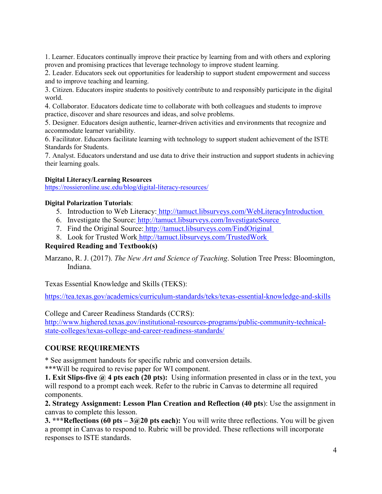1. Learner. Educators continually improve their practice by learning from and with others and exploring proven and promising practices that leverage technology to improve student learning.

2. Leader. Educators seek out opportunities for leadership to support student empowerment and success and to improve teaching and learning.

3. Citizen. Educators inspire students to positively contribute to and responsibly participate in the digital world.

4. Collaborator. Educators dedicate time to collaborate with both colleagues and students to improve practice, discover and share resources and ideas, and solve problems.

5. Designer. Educators design authentic, learner-driven activities and environments that recognize and accommodate learner variability.

6. Facilitator. Educators facilitate learning with technology to support student achievement of the ISTE Standards for Students.

7. Analyst. Educators understand and use data to drive their instruction and support students in achieving their learning goals.

#### **Digital Literacy/Learning Resources**

[https://rossieronline.usc.edu/blog/digital-literacy-resources/](https://nam04.safelinks.protection.outlook.com/?url=https%3A%2F%2Frossieronline.usc.edu%2Fblog%2Fdigital-literacy-resources%2F&data=04%7C01%7Cj.casey%40tamuct.edu%7C3569a34bfb49407f796008d9671752b2%7C9eed4e3000f744849ff193ad8005acec%7C0%7C0%7C637654172134813953%7CUnknown%7CTWFpbGZsb3d8eyJWIjoiMC4wLjAwMDAiLCJQIjoiV2luMzIiLCJBTiI6Ik1haWwiLCJXVCI6Mn0%3D%7C1000&sdata=fMtE6rsOnjLSxq43ITD35zhV0jUxQVUN%2BOFZlfdAHac%3D&reserved=0)

#### **Digital Polarization Tutorials**:

- 5. Introduction to Web Literacy[:](https://nam04.safelinks.protection.outlook.com/?url=http%3A%2F%2Ftamuct.libsurveys.com%2FWebLiteracyIntroduction&data=04%7C01%7Cj.casey%40tamuct.edu%7C3569a34bfb49407f796008d9671752b2%7C9eed4e3000f744849ff193ad8005acec%7C0%7C0%7C637654172134823910%7CUnknown%7CTWFpbGZsb3d8eyJWIjoiMC4wLjAwMDAiLCJQIjoiV2luMzIiLCJBTiI6Ik1haWwiLCJXVCI6Mn0%3D%7C1000&sdata=SboLpPI7gVW21TF602I6NrAjIqbOgUuF2eL8z%2BBMGa4%3D&reserved=0) [http://tamuct.libsurveys.com/WebLiteracyIntroduction](https://nam04.safelinks.protection.outlook.com/?url=http%3A%2F%2Ftamuct.libsurveys.com%2FWebLiteracyIntroduction&data=04%7C01%7Cj.casey%40tamuct.edu%7C3569a34bfb49407f796008d9671752b2%7C9eed4e3000f744849ff193ad8005acec%7C0%7C0%7C637654172134823910%7CUnknown%7CTWFpbGZsb3d8eyJWIjoiMC4wLjAwMDAiLCJQIjoiV2luMzIiLCJBTiI6Ik1haWwiLCJXVCI6Mn0%3D%7C1000&sdata=SboLpPI7gVW21TF602I6NrAjIqbOgUuF2eL8z%2BBMGa4%3D&reserved=0)
- 6. Investigate the Source: [http://tamuct.libsurveys.com/InvestigateSource](https://nam04.safelinks.protection.outlook.com/?url=http%3A%2F%2Ftamuct.libsurveys.com%2FInvestigateSource&data=04%7C01%7Cj.casey%40tamuct.edu%7C3569a34bfb49407f796008d9671752b2%7C9eed4e3000f744849ff193ad8005acec%7C0%7C0%7C637654172134833864%7CUnknown%7CTWFpbGZsb3d8eyJWIjoiMC4wLjAwMDAiLCJQIjoiV2luMzIiLCJBTiI6Ik1haWwiLCJXVCI6Mn0%3D%7C1000&sdata=K4FEP7ReTrVzfkTNQcTxtVXPiBvbGsrmxNmIj42Y4jM%3D&reserved=0)
- 7. Find the Original Source: [http://tamuct.libsurveys.com/FindOriginal](https://nam04.safelinks.protection.outlook.com/?url=http%3A%2F%2Ftamuct.libsurveys.com%2FFindOriginal.&data=04%7C01%7Cj.casey%40tamuct.edu%7C3569a34bfb49407f796008d9671752b2%7C9eed4e3000f744849ff193ad8005acec%7C0%7C0%7C637654172134843819%7CUnknown%7CTWFpbGZsb3d8eyJWIjoiMC4wLjAwMDAiLCJQIjoiV2luMzIiLCJBTiI6Ik1haWwiLCJXVCI6Mn0%3D%7C1000&sdata=gbibrT2RWklocOb1VUw1omfkZJcIXx%2BS1lZRGuTvtYc%3D&reserved=0)
- 8. Look for Trusted Work [http://tamuct.libsurveys.com/TrustedWork](https://nam04.safelinks.protection.outlook.com/?url=http%3A%2F%2Ftamuct.libsurveys.com%2FTrustedWork&data=04%7C01%7Cj.casey%40tamuct.edu%7C3569a34bfb49407f796008d9671752b2%7C9eed4e3000f744849ff193ad8005acec%7C0%7C0%7C637654172134853775%7CUnknown%7CTWFpbGZsb3d8eyJWIjoiMC4wLjAwMDAiLCJQIjoiV2luMzIiLCJBTiI6Ik1haWwiLCJXVCI6Mn0%3D%7C1000&sdata=96QH1c40devCvRgH0neFzfVUwn9O0FlGD%2Fsm%2B3AKJic%3D&reserved=0)

#### **Required Reading and Textbook(s)**

Marzano, R. J. (2017). *The New Art and Science of Teaching*. Solution Tree Press: Bloomington, Indiana.

Texas Essential Knowledge and Skills (TEKS):

<https://tea.texas.gov/academics/curriculum-standards/teks/texas-essential-knowledge-and-skills>

College and Career Readiness Standards (CCRS):

[http://www.highered.texas.gov/institutional-resources-programs/public-community-technical](http://www.highered.texas.gov/institutional-resources-programs/public-community-technical-state-colleges/texas-college-and-career-readiness-standards/)[state-colleges/texas-college-and-career-readiness-standards/](http://www.highered.texas.gov/institutional-resources-programs/public-community-technical-state-colleges/texas-college-and-career-readiness-standards/)

### **COURSE REQUIREMENTS**

\* See assignment handouts for specific rubric and conversion details.

\*\*\*Will be required to revise paper for WI component.

**1. Exit Slips-five @ 4 pts each (20 pts):** Using information presented in class or in the text, you will respond to a prompt each week. Refer to the rubric in Canvas to determine all required components.

**2. Strategy Assignment: Lesson Plan Creation and Reflection (40 pts**): Use the assignment in canvas to complete this lesson.

**3. \*\*\*Reflections (60 pts – 3@20 pts each):** You will write three reflections. You will be given a prompt in Canvas to respond to. Rubric will be provided. These reflections will incorporate responses to ISTE standards.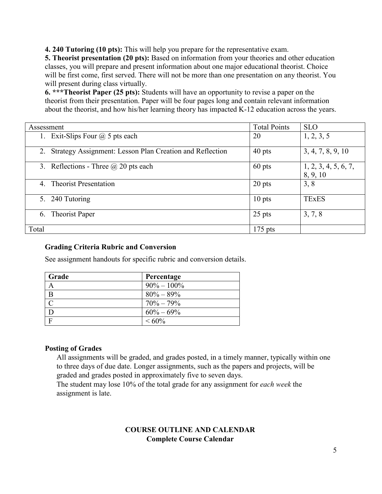**4. 240 Tutoring (10 pts):** This will help you prepare for the representative exam.

**5. Theorist presentation (20 pts):** Based on information from your theories and other education classes, you will prepare and present information about one major educational theorist. Choice will be first come, first served. There will not be more than one presentation on any theorist. You will present during class virtually.

**6. \*\*\*Theorist Paper (25 pts):** Students will have an opportunity to revise a paper on the theorist from their presentation. Paper will be four pages long and contain relevant information about the theorist, and how his/her learning theory has impacted K-12 education across the years.

| Assessment                                                     | <b>Total Points</b> | <b>SLO</b>                       |
|----------------------------------------------------------------|---------------------|----------------------------------|
| Exit-Slips Four $\omega$ 5 pts each                            | 20                  | 1, 2, 3, 5                       |
| Strategy Assignment: Lesson Plan Creation and Reflection<br>2. | $40$ pts            | 3, 4, 7, 8, 9, 10                |
| 3. Reflections - Three $\omega$ 20 pts each                    | $60$ pts            | 1, 2, 3, 4, 5, 6, 7,<br>8, 9, 10 |
| <b>Theorist Presentation</b><br>4.                             | 20 pts              | 3, 8                             |
| 240 Tutoring<br>5.                                             | $10$ pts            | <b>TExES</b>                     |
| Theorist Paper<br>6.                                           | $25$ pts            | 3, 7, 8                          |
| Total                                                          | $175$ pts           |                                  |

#### **Grading Criteria Rubric and Conversion**

See assignment handouts for specific rubric and conversion details.

| Grade         | Percentage     |
|---------------|----------------|
| A             | $90\% - 100\%$ |
| B             | $80\% - 89\%$  |
| $\mathcal{C}$ | $70\% - 79\%$  |
| D             | $60\% - 69\%$  |
| $\mathbf{F}$  | $<60\%$        |

#### **Posting of Grades**

All assignments will be graded, and grades posted, in a timely manner, typically within one to three days of due date. Longer assignments, such as the papers and projects, will be graded and grades posted in approximately five to seven days.

The student may lose 10% of the total grade for any assignment for *each week* the assignment is late.

## **COURSE OUTLINE AND CALENDAR Complete Course Calendar**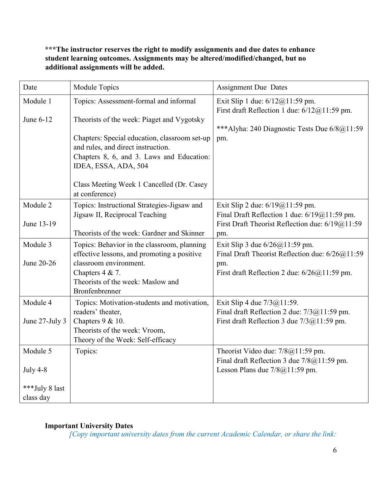## **\*\*\*The instructor reserves the right to modify assignments and due dates to enhance student learning outcomes. Assignments may be altered/modified/changed, but no additional assignments will be added.**

| Date           | Module Topics                                                                               | <b>Assignment Due Dates</b>                                                       |
|----------------|---------------------------------------------------------------------------------------------|-----------------------------------------------------------------------------------|
| Module 1       | Topics: Assessment-formal and informal                                                      | Exit Slip 1 due: 6/12@11:59 pm.<br>First draft Reflection 1 due: $6/12@11:59$ pm. |
| June 6-12      | Theorists of the week: Piaget and Vygotsky<br>Chapters: Special education, classroom set-up | ***Alyha: 240 Diagnostic Tests Due 6/8@11:59<br>pm.                               |
|                | and rules, and direct instruction.                                                          |                                                                                   |
|                | Chapters 8, 6, and 3. Laws and Education:                                                   |                                                                                   |
|                | IDEA, ESSA, ADA, 504                                                                        |                                                                                   |
|                | Class Meeting Week 1 Cancelled (Dr. Casey<br>at conference)                                 |                                                                                   |
| Module 2       | Topics: Instructional Strategies-Jigsaw and                                                 | Exit Slip 2 due: $6/19@11:59$ pm.                                                 |
|                | Jigsaw II, Reciprocal Teaching                                                              | Final Draft Reflection 1 due: 6/19@11:59 pm.                                      |
| June 13-19     | Theorists of the week: Gardner and Skinner                                                  | First Draft Theorist Reflection due: 6/19@11:59<br>pm.                            |
| Module 3       | Topics: Behavior in the classroom, planning                                                 | Exit Slip 3 due $6/26@11:59$ pm.                                                  |
|                | effective lessons, and promoting a positive                                                 | Final Draft Theorist Reflection due: 6/26@11:59                                   |
| June 20-26     | classroom environment.                                                                      | pm.                                                                               |
|                | Chapters 4 & 7.                                                                             | First draft Reflection 2 due: $6/26@11:59$ pm.                                    |
|                | Theorists of the week: Maslow and<br>Bronfenbrenner                                         |                                                                                   |
| Module 4       | Topics: Motivation-students and motivation,                                                 | Exit Slip 4 due $7/3@11:59$ .                                                     |
|                | readers' theater,<br>Chapters 9 & 10.                                                       | Final draft Reflection 2 due: 7/3@11:59 pm.                                       |
| June 27-July 3 | Theorists of the week: Vroom,                                                               | First draft Reflection 3 due $7/3@11:59$ pm.                                      |
|                | Theory of the Week: Self-efficacy                                                           |                                                                                   |
| Module 5       | Topics:                                                                                     | Theorist Video due: $7/8@11:59$ pm.                                               |
|                |                                                                                             | Final draft Reflection 3 due 7/8@11:59 pm.                                        |
| July 4-8       |                                                                                             | Lesson Plans due 7/8@11:59 pm.                                                    |
| ***July 8 last |                                                                                             |                                                                                   |
| class day      |                                                                                             |                                                                                   |

# **Important University Dates**

*[Copy important university dates from the current Academic Calendar, or share the link:*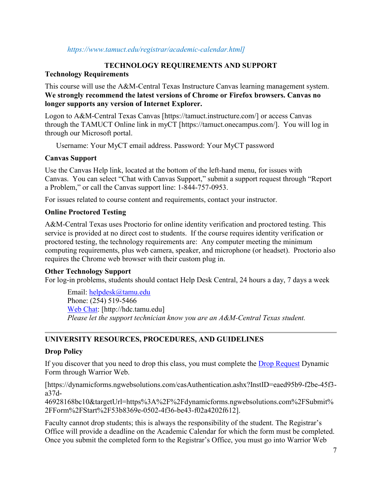#### *https://www.tamuct.edu/registrar/academic-calendar.html]*

### **TECHNOLOGY REQUIREMENTS AND SUPPORT**

#### **Technology Requirements**

This course will use the A&M-Central Texas Instructure Canvas learning management system. **We strongly recommend the latest versions of Chrome or Firefox browsers. Canvas no longer supports any version of Internet Explorer.**

Logon to A&M-Central Texas Canvas [https://tamuct.instructure.com/] or access Canvas through the TAMUCT Online link in myCT [https://tamuct.onecampus.com/]. You will log in through our Microsoft portal.

Username: Your MyCT email address. Password: Your MyCT password

### **Canvas Support**

Use the Canvas Help link, located at the bottom of the left-hand menu, for issues with Canvas. You can select "Chat with Canvas Support," submit a support request through "Report a Problem," or call the Canvas support line: 1-844-757-0953.

For issues related to course content and requirements, contact your instructor.

## **Online Proctored Testing**

A&M-Central Texas uses Proctorio for online identity verification and proctored testing. This service is provided at no direct cost to students. If the course requires identity verification or proctored testing, the technology requirements are: Any computer meeting the minimum computing requirements, plus web camera, speaker, and microphone (or headset). Proctorio also requires the Chrome web browser with their custom plug in.

### **Other Technology Support**

For log-in problems, students should contact Help Desk Central, 24 hours a day, 7 days a week

Email: [helpdesk@tamu.edu](mailto:helpdesk@tamu.edu) Phone: (254) 519-5466 [Web Chat:](http://hdc.tamu.edu/) [http://hdc.tamu.edu] *Please let the support technician know you are an A&M-Central Texas student.*

## **UNIVERSITY RESOURCES, PROCEDURES, AND GUIDELINES**

### **Drop Policy**

If you discover that you need to drop this class, you must complete the [Drop Request](https://dynamicforms.ngwebsolutions.com/casAuthentication.ashx?InstID=eaed95b9-f2be-45f3-a37d-46928168bc10&targetUrl=https%3A%2F%2Fdynamicforms.ngwebsolutions.com%2FSubmit%2FForm%2FStart%2F53b8369e-0502-4f36-be43-f02a4202f612) Dynamic Form through Warrior Web.

[https://dynamicforms.ngwebsolutions.com/casAuthentication.ashx?InstID=eaed95b9-f2be-45f3 a37d-

46928168bc10&targetUrl=https%3A%2F%2Fdynamicforms.ngwebsolutions.com%2FSubmit% 2FForm%2FStart%2F53b8369e-0502-4f36-be43-f02a4202f612].

Faculty cannot drop students; this is always the responsibility of the student. The Registrar's Office will provide a deadline on the Academic Calendar for which the form must be completed. Once you submit the completed form to the Registrar's Office, you must go into Warrior Web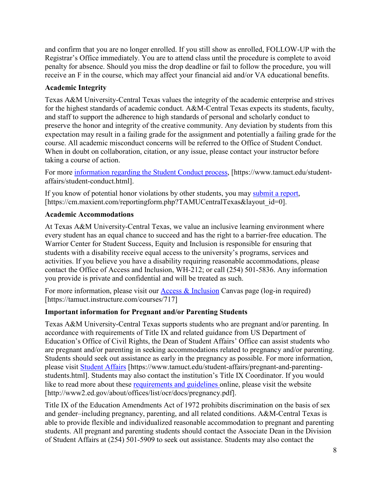and confirm that you are no longer enrolled. If you still show as enrolled, FOLLOW-UP with the Registrar's Office immediately. You are to attend class until the procedure is complete to avoid penalty for absence. Should you miss the drop deadline or fail to follow the procedure, you will receive an F in the course, which may affect your financial aid and/or VA educational benefits.

### **Academic Integrity**

Texas A&M University-Central Texas values the integrity of the academic enterprise and strives for the highest standards of academic conduct. A&M-Central Texas expects its students, faculty, and staff to support the adherence to high standards of personal and scholarly conduct to preserve the honor and integrity of the creative community. Any deviation by students from this expectation may result in a failing grade for the assignment and potentially a failing grade for the course. All academic misconduct concerns will be referred to the Office of Student Conduct. When in doubt on collaboration, citation, or any issue, please contact your instructor before taking a course of action.

For more [information](https://nam04.safelinks.protection.outlook.com/?url=https%3A%2F%2Fwww.tamuct.edu%2Fstudent-affairs%2Fstudent-conduct.html&data=04%7C01%7Clisa.bunkowski%40tamuct.edu%7Ccfb6e486f24745f53e1a08d910055cb2%7C9eed4e3000f744849ff193ad8005acec%7C0%7C0%7C637558437485252160%7CUnknown%7CTWFpbGZsb3d8eyJWIjoiMC4wLjAwMDAiLCJQIjoiV2luMzIiLCJBTiI6Ik1haWwiLCJXVCI6Mn0%3D%7C1000&sdata=yjftDEVHvLX%2FhM%2FcFU0B99krV1RgEWR%2BJ%2BhvtoR6TYk%3D&reserved=0) regarding the Student Conduct process, [https://www.tamuct.edu/studentaffairs/student-conduct.html].

If you know of potential honor violations by other students, you may [submit](https://nam04.safelinks.protection.outlook.com/?url=https%3A%2F%2Fcm.maxient.com%2Freportingform.php%3FTAMUCentralTexas%26layout_id%3D0&data=04%7C01%7Clisa.bunkowski%40tamuct.edu%7Ccfb6e486f24745f53e1a08d910055cb2%7C9eed4e3000f744849ff193ad8005acec%7C0%7C0%7C637558437485262157%7CUnknown%7CTWFpbGZsb3d8eyJWIjoiMC4wLjAwMDAiLCJQIjoiV2luMzIiLCJBTiI6Ik1haWwiLCJXVCI6Mn0%3D%7C1000&sdata=CXGkOa6uPDPX1IMZ87z3aZDq2n91xfHKu4MMS43Ejjk%3D&reserved=0) a report, [https://cm.maxient.com/reportingform.php?TAMUCentralTexas&layout\_id=0].

### **Academic Accommodations**

At Texas A&M University-Central Texas, we value an inclusive learning environment where every student has an equal chance to succeed and has the right to a barrier-free education. The Warrior Center for Student Success, Equity and Inclusion is responsible for ensuring that students with a disability receive equal access to the university's programs, services and activities. If you believe you have a disability requiring reasonable accommodations, please contact the Office of Access and Inclusion, WH-212; or call (254) 501-5836. Any information you provide is private and confidential and will be treated as such.

For more information, please visit our [Access & Inclusion](https://tamuct.instructure.com/courses/717) Canvas page (log-in required) [https://tamuct.instructure.com/courses/717]

## **Important information for Pregnant and/or Parenting Students**

Texas A&M University-Central Texas supports students who are pregnant and/or parenting. In accordance with requirements of Title IX and related guidance from US Department of Education's Office of Civil Rights, the Dean of Student Affairs' Office can assist students who are pregnant and/or parenting in seeking accommodations related to pregnancy and/or parenting. Students should seek out assistance as early in the pregnancy as possible. For more information, please visit [Student Affairs](https://www.tamuct.edu/student-affairs/pregnant-and-parenting-students.html) [https://www.tamuct.edu/student-affairs/pregnant-and-parentingstudents.html]. Students may also contact the institution's Title IX Coordinator. If you would like to read more about these [requirements and guidelines](http://www2.ed.gov/about/offices/list/ocr/docs/pregnancy.pdf) online, please visit the website [http://www2.ed.gov/about/offices/list/ocr/docs/pregnancy.pdf].

Title IX of the Education Amendments Act of 1972 prohibits discrimination on the basis of sex and gender–including pregnancy, parenting, and all related conditions. A&M-Central Texas is able to provide flexible and individualized reasonable accommodation to pregnant and parenting students. All pregnant and parenting students should contact the Associate Dean in the Division of Student Affairs at (254) 501-5909 to seek out assistance. Students may also contact the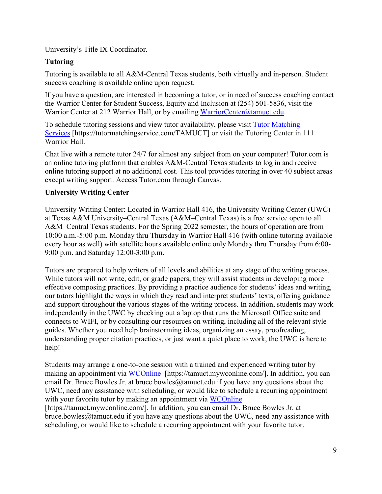University's Title IX Coordinator.

## **Tutoring**

Tutoring is available to all A&M-Central Texas students, both virtually and in-person. Student success coaching is available online upon request.

If you have a question, are interested in becoming a tutor, or in need of success coaching contact the Warrior Center for Student Success, Equity and Inclusion at (254) 501-5836, visit the Warrior Center at 212 Warrior Hall, or by emailing [WarriorCenter@tamuct.edu.](mailto:WarriorCenter@tamuct.edu)

To schedule tutoring sessions and view tutor availability, please visit Tutor [Matching](https://tutormatchingservice.com/TAMUCT) [Services](https://tutormatchingservice.com/TAMUCT) [https://tutormatchingservice.com/TAMUCT] or visit the Tutoring Center in 111 Warrior Hall.

Chat live with a remote tutor 24/7 for almost any subject from on your computer! Tutor.com is an online tutoring platform that enables A&M-Central Texas students to log in and receive online tutoring support at no additional cost. This tool provides tutoring in over 40 subject areas except writing support. Access Tutor.com through Canvas.

## **University Writing Center**

University Writing Center: Located in Warrior Hall 416, the University Writing Center (UWC) at Texas A&M University–Central Texas (A&M–Central Texas) is a free service open to all A&M–Central Texas students. For the Spring 2022 semester, the hours of operation are from 10:00 a.m.-5:00 p.m. Monday thru Thursday in Warrior Hall 416 (with online tutoring available every hour as well) with satellite hours available online only Monday thru Thursday from 6:00- 9:00 p.m. and Saturday 12:00-3:00 p.m.

Tutors are prepared to help writers of all levels and abilities at any stage of the writing process. While tutors will not write, edit, or grade papers, they will assist students in developing more effective composing practices. By providing a practice audience for students' ideas and writing, our tutors highlight the ways in which they read and interpret students' texts, offering guidance and support throughout the various stages of the writing process. In addition, students may work independently in the UWC by checking out a laptop that runs the Microsoft Office suite and connects to WIFI, or by consulting our resources on writing, including all of the relevant style guides. Whether you need help brainstorming ideas, organizing an essay, proofreading, understanding proper citation practices, or just want a quiet place to work, the UWC is here to help!

Students may arrange a one-to-one session with a trained and experienced writing tutor by making an appointment via [WCOnline](https://tamuct.mywconline.com/) [https://tamuct.mywconline.com/]. In addition, you can email Dr. Bruce Bowles Jr. at bruce.bowles  $@$ tamuct.edu if you have any questions about the UWC, need any assistance with scheduling, or would like to schedule a recurring appointment with your favorite tutor by making an appointment via [WCOnline](https://tamuct.mywconline.com/) [https://tamuct.mywconline.com/]. In addition, you can email Dr. Bruce Bowles Jr. at bruce.bowles@tamuct.edu if you have any questions about the UWC, need any assistance with scheduling, or would like to schedule a recurring appointment with your favorite tutor.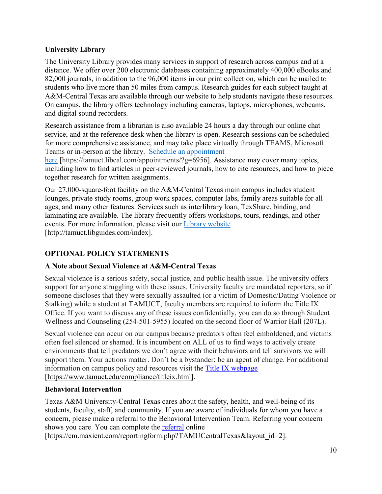### **University Library**

The University Library provides many services in support of research across campus and at a distance. We offer over 200 electronic databases containing approximately 400,000 eBooks and 82,000 journals, in addition to the 96,000 items in our print collection, which can be mailed to students who live more than 50 miles from campus. Research guides for each subject taught at A&M-Central Texas are available through our website to help students navigate these resources. On campus, the library offers technology including cameras, laptops, microphones, webcams, and digital sound recorders.

Research assistance from a librarian is also available 24 hours a day through our online chat service, and at the reference desk when the library is open. Research sessions can be scheduled for more comprehensive assistance, and may take place virtually through TEAMS, Microsoft Teams or in-person at the library. Schedule an [appointment](https://nam04.safelinks.protection.outlook.com/?url=https%3A%2F%2Ftamuct.libcal.com%2Fappointments%2F%3Fg%3D6956&data=04%7C01%7Clisa.bunkowski%40tamuct.edu%7Cde2c07d9f5804f09518008d9ab7ba6ff%7C9eed4e3000f744849ff193ad8005acec%7C0%7C0%7C637729369835011558%7CUnknown%7CTWFpbGZsb3d8eyJWIjoiMC4wLjAwMDAiLCJQIjoiV2luMzIiLCJBTiI6Ik1haWwiLCJXVCI6Mn0%3D%7C3000&sdata=KhtjgRSAw9aq%2FoBsB6wyu8b7PSuGN5EGPypzr3Ty2No%3D&reserved=0)

[here](https://nam04.safelinks.protection.outlook.com/?url=https%3A%2F%2Ftamuct.libcal.com%2Fappointments%2F%3Fg%3D6956&data=04%7C01%7Clisa.bunkowski%40tamuct.edu%7Cde2c07d9f5804f09518008d9ab7ba6ff%7C9eed4e3000f744849ff193ad8005acec%7C0%7C0%7C637729369835011558%7CUnknown%7CTWFpbGZsb3d8eyJWIjoiMC4wLjAwMDAiLCJQIjoiV2luMzIiLCJBTiI6Ik1haWwiLCJXVCI6Mn0%3D%7C3000&sdata=KhtjgRSAw9aq%2FoBsB6wyu8b7PSuGN5EGPypzr3Ty2No%3D&reserved=0) [https://tamuct.libcal.com/appointments/?g=6956]. Assistance may cover many topics, including how to find articles in peer-reviewed journals, how to cite resources, and how to piece together research for written assignments.

Our 27,000-square-foot facility on the A&M-Central Texas main campus includes student lounges, private study rooms, group work spaces, computer labs, family areas suitable for all ages, and many other features. Services such as interlibrary loan, TexShare, binding, and laminating are available. The library frequently offers workshops, tours, readings, and other events. For more information, please visit our Library [website](https://nam04.safelinks.protection.outlook.com/?url=https%3A%2F%2Ftamuct.libguides.com%2Findex&data=04%7C01%7Clisa.bunkowski%40tamuct.edu%7C7d8489e8839a4915335f08d916f067f2%7C9eed4e3000f744849ff193ad8005acec%7C0%7C0%7C637566044056484222%7CUnknown%7CTWFpbGZsb3d8eyJWIjoiMC4wLjAwMDAiLCJQIjoiV2luMzIiLCJBTiI6Ik1haWwiLCJXVCI6Mn0%3D%7C1000&sdata=2R755V6rcIyedGrd4Os5rkgn1PvhHKU3kUV1vBKiHFo%3D&reserved=0) [http://tamuct.libguides.com/index].

# **OPTIONAL POLICY STATEMENTS**

## **A Note about Sexual Violence at A&M-Central Texas**

Sexual violence is a serious safety, social justice, and public health issue. The university offers support for anyone struggling with these issues. University faculty are mandated reporters, so if someone discloses that they were sexually assaulted (or a victim of Domestic/Dating Violence or Stalking) while a student at TAMUCT, faculty members are required to inform the Title IX Office. If you want to discuss any of these issues confidentially, you can do so through Student Wellness and Counseling (254-501-5955) located on the second floor of Warrior Hall (207L).

Sexual violence can occur on our campus because predators often feel emboldened, and victims often feel silenced or shamed. It is incumbent on ALL of us to find ways to actively create environments that tell predators we don't agree with their behaviors and tell survivors we will support them. Your actions matter. Don't be a bystander; be an agent of change. For additional information on campus policy and resources visit the [Title IX webpage](https://www.tamuct.edu/compliance/titleix.html) [\[https://www.tamuct.edu/compliance/titleix.html\]](https://www.tamuct.edu/compliance/titleix.html).

### **Behavioral Intervention**

Texas A&M University-Central Texas cares about the safety, health, and well-being of its students, faculty, staff, and community. If you are aware of individuals for whom you have a concern, please make a referral to the Behavioral Intervention Team. Referring your concern shows you care. You can complete the [referral](https://cm.maxient.com/reportingform.php?TAMUCentralTexas&layout_id=2) online

[https://cm.maxient.com/reportingform.php?TAMUCentralTexas&layout\_id=2].